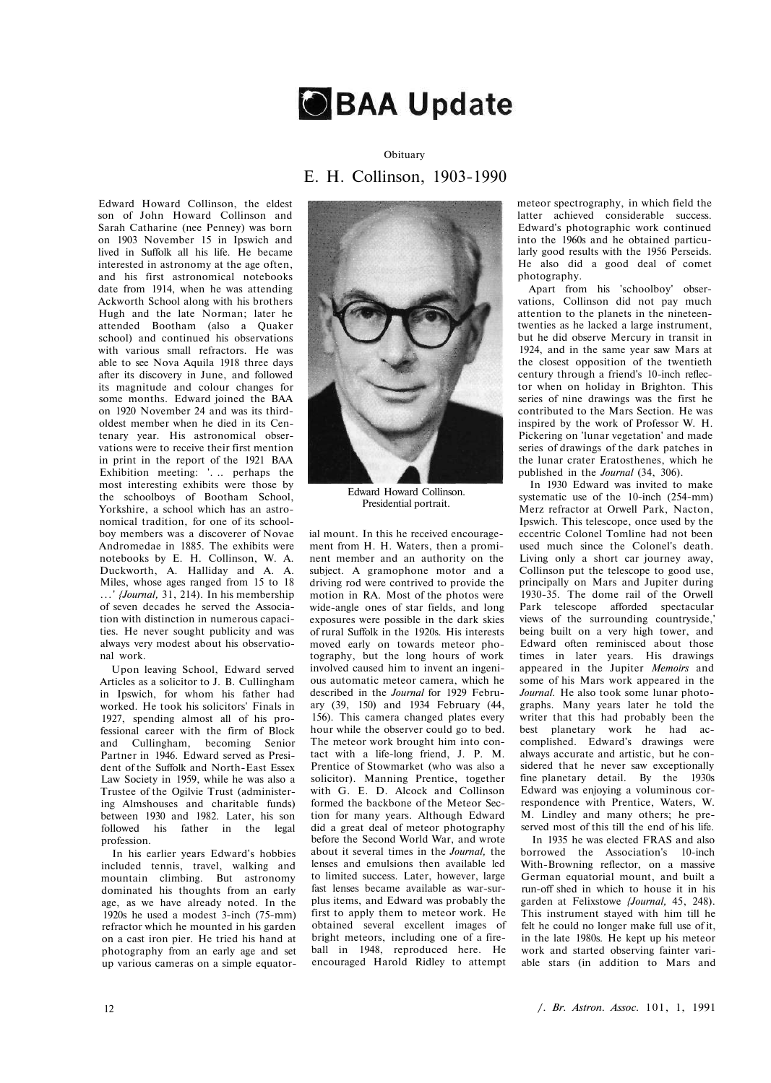

## Obituary Ε. Η. Collinson, 1903-1990

Edward Howard Collinson, the eldest son of John Howard Collinson and Sarah Catharine (nee Penney) was born on 1903 November 15 in Ipswich and lived in Suffolk all his life. He became interested in astronomy at the age often, and his first astronomical notebooks date from 1914, when he was attending Ackworth School along with his brothers Hugh and the late Norman; later he attended Bootham (also a Quaker school) and continued his observations with various small refractors. He was able to see Nova Aquila 1918 three days after its discovery in June, and followed its magnitude and colour changes for some months. Edward joined the BAA on 1920 November 24 and was its thirdoldest member when he died in its Centenary year. His astronomical observations were to receive their first mention in print in the report of the 1921 BAA Exhibition meeting: '. .. perhaps the most interesting exhibits were those by the schoolboys of Bootham School, Yorkshire, a school which has an astronomical tradition, for one of its schoolboy members was a discoverer of Novae Andromedae in 1885. The exhibits were notebooks by Ε. Η. Collinson, W. A. Duckworth, A. Halliday and A. A. Miles, whose ages ranged from 15 to 18 ...' *{Journal,* 31, 214). In his membership of seven decades he served the Association with distinction in numerous capacities. He never sought publicity and was always very modest about his observational work.

Upon leaving School, Edward served Articles as a solicitor to J. B. Cullingham in Ipswich, for whom his father had worked. He took his solicitors' Finals in 1927, spending almost all of his professional career with the firm of Block and Cullingham, becoming Senior Partner in 1946. Edward served as President of the Suffolk and North-East Essex Law Society in 1959, while he was also a Trustee of the Ogilvie Trust (administering Almshouses and charitable funds) between 1930 and 1982. Later, his son followed his father in the legal profession.

In his earlier years Edward's hobbies included tennis, travel, walking and mountain climbing. But astronomy dominated his thoughts from an early age, as we have already noted. In the 1920s he used a modest 3-inch (75-mm) refractor which he mounted in his garden on a cast iron pier. He tried his hand at photography from an early age and set up various cameras on a simple equator-



Edward Howard Collinson. Presidential portrait.

ial mount. In this he received encouragement from H. H. Waters, then a prominent member and an authority on the subject. A gramophone motor and a driving rod were contrived to provide the motion in RA. Most of the photos were wide-angle ones of star fields, and long exposures were possible in the dark skies of rural Suffolk in the 1920s. His interests moved early on towards meteor photography, but the long hours of work involved caused him to invent an ingenious automatic meteor camera, which he described in the *Journal* for 1929 February (39, 150) and 1934 February (44, 156). This camera changed plates every hour while the observer could go to bed. The meteor work brought him into contact with a life-long friend, J. P. M. Prentice of Stowmarket (who was also a solicitor). Manning Prentice, together with G. E. D. Alcock and Collinson formed the backbone of the Meteor Section for many years. Although Edward did a great deal of meteor photography before the Second World War, and wrote about it several times in the *Journal,* the lenses and emulsions then available led to limited success. Later, however, large fast lenses became available as war-surplus items, and Edward was probably the first to apply them to meteor work. He obtained several excellent images of bright meteors, including one of a fireball in 1948, reproduced here. He encouraged Harold Ridley to attempt meteor spectrography, in which field the latter achieved considerable success. Edward's photographic work continued into the 1960s and he obtained particularly good results with the 1956 Perseids. He also did a good deal of comet photography.

Apart from his 'schoolboy' observations, Collinson did not pay much attention to the planets in the nineteentwenties as he lacked a large instrument, but he did observe Mercury in transit in 1924, and in the same year saw Mars at the closest opposition of the twentieth century through a friend's 10-inch reflector when on holiday in Brighton. This series of nine drawings was the first he contributed to the Mars Section. He was inspired by the work of Professor W. H. Pickering on 'lunar vegetation' and made series of drawings of the dark patches in the lunar crater Eratosthenes, which he published in the *Journal* (34, 306).

In 1930 Edward was invited to make systematic use of the 10-inch (254-mm) Merz refractor at Orwell Park, Nacton, Ipswich. This telescope, once used by the eccentric Colonel Tomline had not been used much since the Colonel's death. Living only a short car journey away, Collinson put the telescope to good use, principally on Mars and Jupiter during 1930-35. The dome rail of the Orwell Park telescope afforded spectacular views of the surrounding countryside,' being built on a very high tower, and Edward often reminisced about those times in later years. His drawings appeared in the Jupiter *Memoirs* and some of his Mars work appeared in the *Journal.* He also took some lunar photographs. Many years later he told the writer that this had probably been the best planetary work he had accomplished. Edward's drawings were always accurate and artistic, but he considered that he never saw exceptionally fine planetary detail. By the 1930s Edward was enjoying a voluminous correspondence with Prentice, Waters, W. M. Lindley and many others; he preserved most of this till the end of his life.

In 1935 he was elected FRAS and also borrowed the Association's 10-inch With-Browning reflector, on a massive German equatorial mount, and built a run-off shed in which to house it in his garden at Felixstowe *{Journal,* 45, 248). This instrument stayed with him till he felt he could no longer make full use of it, in the late 1980s. He kept up his meteor work and started observing fainter variable stars (in addition to Mars and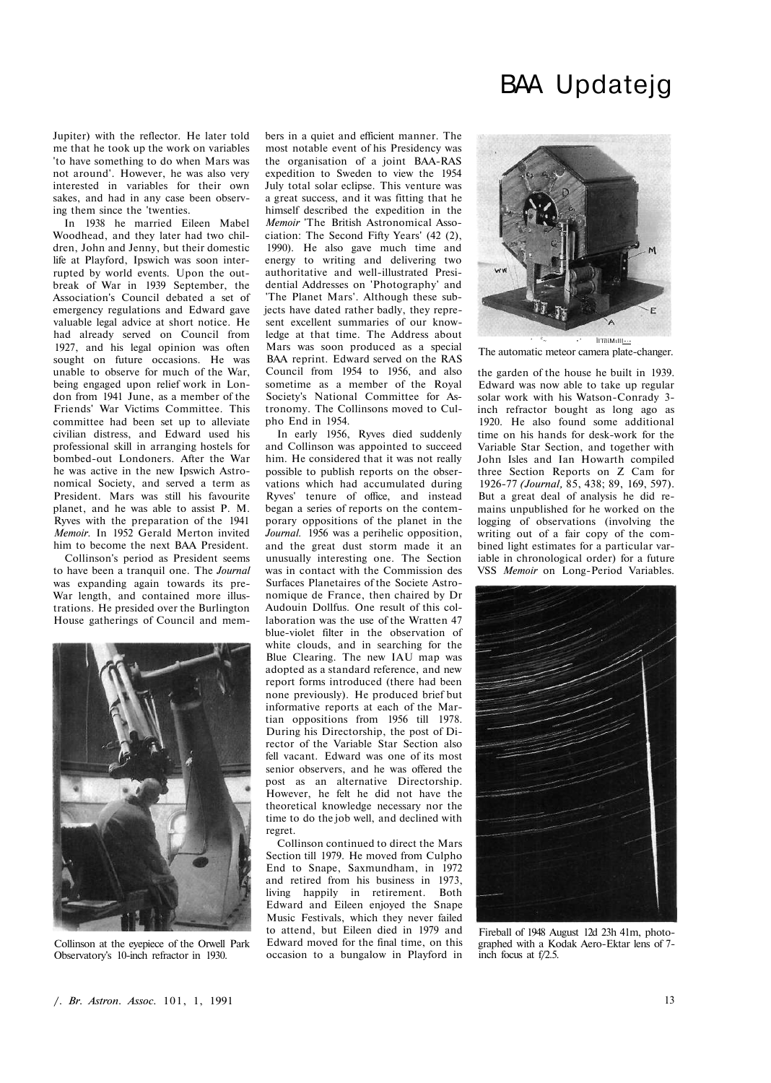## Jupiter) with the reflector. He later told me that he took up the work on variables 'to have something to do when Mars was not around'. However, he was also very interested in variables for their own sakes, and had in any case been observing them since the 'twenties.

In 1938 he married Eileen Mabel Woodhead, and they later had two children, John and Jenny, but their domestic life at Playford, Ipswich was soon interrupted by world events. Upon the outbreak of War in 1939 September, the Association's Council debated a set of emergency regulations and Edward gave valuable legal advice at short notice. He had already served on Council from 1927, and his legal opinion was often sought on future occasions. He was unable to observe for much of the War, being engaged upon relief work in London from 1941 June, as a member of the Friends' War Victims Committee. This committee had been set up to alleviate civilian distress, and Edward used his professional skill in arranging hostels for bombed-out Londoners. After the War he was active in the new Ipswich Astronomical Society, and served a term as President. Mars was still his favourite planet, and he was able to assist P. M. Ryves with the preparation of the 1941 *Memoir.* In 1952 Gerald Merton invited him to become the next BAA President.

Collinson's period as President seems to have been a tranquil one. The *Journal*  was expanding again towards its pre-War length, and contained more illustrations. He presided over the Burlington House gatherings of Council and mem-



Collinson at the eyepiece of the Orwell Park Observatory's 10-inch refractor in 1930.

bers in a quiet and efficient manner. The most notable event of his Presidency was the organisation of a joint BAA-RAS expedition to Sweden to view the 1954 July total solar eclipse. This venture was a great success, and it was fitting that he himself described the expedition in the *Memoir* 'The British Astronomical Association: The Second Fifty Years' (42 (2), 1990). He also gave much time and energy to writing and delivering two authoritative and well-illustrated Presidential Addresses on 'Photography' and 'The Planet Mars'. Although these subjects have dated rather badly, they represent excellent summaries of our knowledge at that time. The Address about Mars was soon produced as a special BAA reprint. Edward served on the RAS Council from 1954 to 1956, and also sometime as a member of the Royal Society's National Committee for Astronomy. The Collinsons moved to Culpho End in 1954.

In early 1956, Ryves died suddenly and Collinson was appointed to succeed him. He considered that it was not really possible to publish reports on the observations which had accumulated during Ryves' tenure of office, and instead began a series of reports on the contemporary oppositions of the planet in the *Journal.* 1956 was a perihelic opposition, and the great dust storm made it an unusually interesting one. The Section was in contact with the Commission des Surfaces Planetaires of the Societe Astronomique de France, then chaired by Dr Audouin Dollfus. One result of this collaboration was the use of the Wratten 47 blue-violet filter in the observation of white clouds, and in searching for the Blue Clearing. The new IAU map was adopted as a standard reference, and new report forms introduced (there had been none previously). He produced brief but informative reports at each of the Martian oppositions from 1956 till 1978. During his Directorship, the post of Director of the Variable Star Section also fell vacant. Edward was one of its most senior observers, and he was offered the post as an alternative Directorship. However, he felt he did not have the theoretical knowledge necessary nor the time to do the job well, and declined with regret.

Collinson continued to direct the Mars Section till 1979. He moved from Culpho End to Snape, Saxmundham, in 1972 and retired from his business in 1973, living happily in retirement. Both Edward and Eileen enjoyed the Snape Music Festivals, which they never failed to attend, but Eileen died in 1979 and Edward moved for the final time, on this occasion to a bungalow in Playford in

## BAA Updatejg



The automatic meteor camera plate-changer.

the garden of the house he built in 1939. Edward was now able to take up regular solar work with his Watson-Conrady 3 inch refractor bought as long ago as 1920. He also found some additional time on his hands for desk-work for the Variable Star Section, and together with John Isles and Ian Howarth compiled three Section Reports on Ζ Cam for 1926-77 *(Journal,* 85, 438; 89, 169, 597). But a great deal of analysis he did remains unpublished for he worked on the logging of observations (involving the writing out of a fair copy of the combined light estimates for a particular variable in chronological order) for a future VSS *Memoir* on Long-Period Variables.



Fireball of 1948 August 12d 23h 41m, photographed with a Kodak Aero-Ektar lens of 7 inch focus at f/2.5.